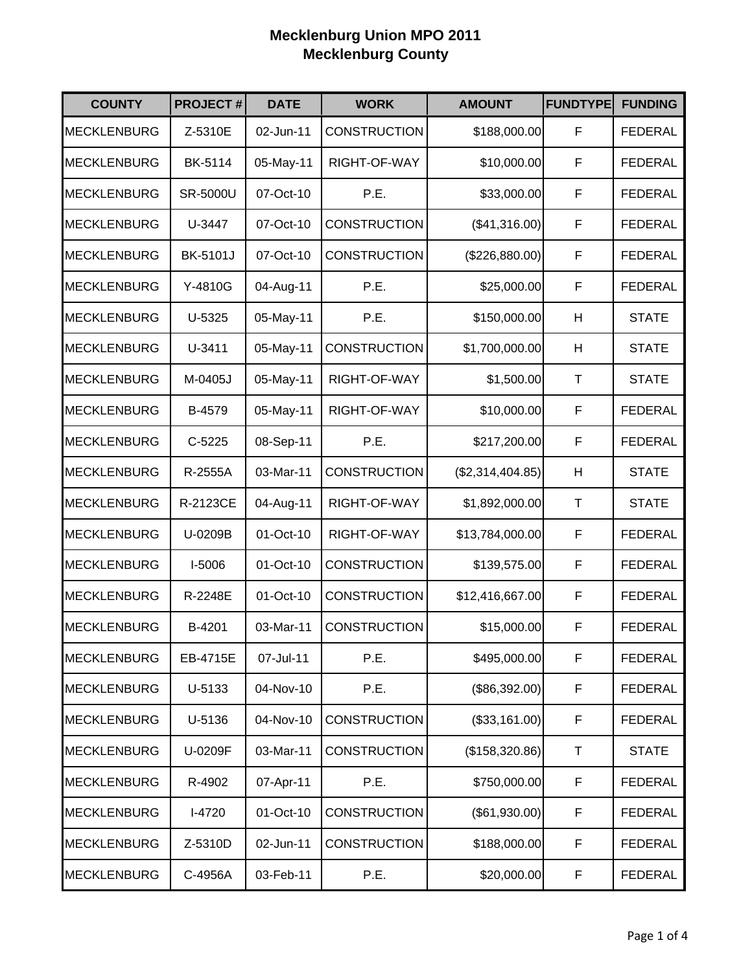| <b>COUNTY</b>      | <b>PROJECT#</b> | <b>DATE</b> | <b>WORK</b>         | <b>AMOUNT</b>    | <b>FUNDTYPE</b> | <b>FUNDING</b> |
|--------------------|-----------------|-------------|---------------------|------------------|-----------------|----------------|
| <b>MECKLENBURG</b> | Z-5310E         | 02-Jun-11   | <b>CONSTRUCTION</b> | \$188,000.00     | F               | <b>FEDERAL</b> |
| <b>MECKLENBURG</b> | BK-5114         | 05-May-11   | RIGHT-OF-WAY        | \$10,000.00      | F               | <b>FEDERAL</b> |
| <b>MECKLENBURG</b> | <b>SR-5000U</b> | 07-Oct-10   | P.E.                | \$33,000.00      | F               | <b>FEDERAL</b> |
| <b>MECKLENBURG</b> | U-3447          | 07-Oct-10   | <b>CONSTRUCTION</b> | (\$41,316.00)    | F               | <b>FEDERAL</b> |
| <b>MECKLENBURG</b> | <b>BK-5101J</b> | 07-Oct-10   | <b>CONSTRUCTION</b> | (\$226,880.00)   | F               | <b>FEDERAL</b> |
| <b>MECKLENBURG</b> | Y-4810G         | 04-Aug-11   | P.E.                | \$25,000.00      | F               | <b>FEDERAL</b> |
| <b>MECKLENBURG</b> | U-5325          | 05-May-11   | P.E.                | \$150,000.00     | Н               | <b>STATE</b>   |
| <b>MECKLENBURG</b> | U-3411          | 05-May-11   | <b>CONSTRUCTION</b> | \$1,700,000.00   | Η               | <b>STATE</b>   |
| <b>MECKLENBURG</b> | M-0405J         | 05-May-11   | RIGHT-OF-WAY        | \$1,500.00       | $\top$          | <b>STATE</b>   |
| <b>MECKLENBURG</b> | B-4579          | 05-May-11   | RIGHT-OF-WAY        | \$10,000.00      | F               | <b>FEDERAL</b> |
| <b>MECKLENBURG</b> | $C-5225$        | 08-Sep-11   | P.E.                | \$217,200.00     | F               | <b>FEDERAL</b> |
| <b>MECKLENBURG</b> | R-2555A         | 03-Mar-11   | <b>CONSTRUCTION</b> | (\$2,314,404.85) | Н               | <b>STATE</b>   |
| <b>MECKLENBURG</b> | R-2123CE        | 04-Aug-11   | RIGHT-OF-WAY        | \$1,892,000.00   | T               | <b>STATE</b>   |
| <b>MECKLENBURG</b> | U-0209B         | 01-Oct-10   | RIGHT-OF-WAY        | \$13,784,000.00  | F               | <b>FEDERAL</b> |
| <b>MECKLENBURG</b> | I-5006          | 01-Oct-10   | <b>CONSTRUCTION</b> | \$139,575.00     | F               | <b>FEDERAL</b> |
| <b>MECKLENBURG</b> | R-2248E         | 01-Oct-10   | <b>CONSTRUCTION</b> | \$12,416,667.00  | F               | <b>FEDERAL</b> |
| <b>MECKLENBURG</b> | B-4201          | 03-Mar-11   | <b>CONSTRUCTION</b> | \$15,000.00      | F               | <b>FEDERAL</b> |
| <b>MECKLENBURG</b> | EB-4715E        | 07-Jul-11   | P.E.                | \$495,000.00     | F               | <b>FEDERAL</b> |
| <b>MECKLENBURG</b> | U-5133          | 04-Nov-10   | P.E.                | (\$86,392.00)    | F               | <b>FEDERAL</b> |
| <b>MECKLENBURG</b> | U-5136          | 04-Nov-10   | <b>CONSTRUCTION</b> | (\$33,161.00)    | F               | <b>FEDERAL</b> |
| <b>MECKLENBURG</b> | U-0209F         | 03-Mar-11   | <b>CONSTRUCTION</b> | (\$158,320.86)   | Τ               | <b>STATE</b>   |
| <b>MECKLENBURG</b> | R-4902          | 07-Apr-11   | P.E.                | \$750,000.00     | F               | <b>FEDERAL</b> |
| <b>MECKLENBURG</b> | I-4720          | 01-Oct-10   | <b>CONSTRUCTION</b> | (\$61,930.00)    | F               | <b>FEDERAL</b> |
| MECKLENBURG        | Z-5310D         | 02-Jun-11   | <b>CONSTRUCTION</b> | \$188,000.00     | F               | <b>FEDERAL</b> |
| <b>MECKLENBURG</b> | C-4956A         | 03-Feb-11   | P.E.                | \$20,000.00      | F               | <b>FEDERAL</b> |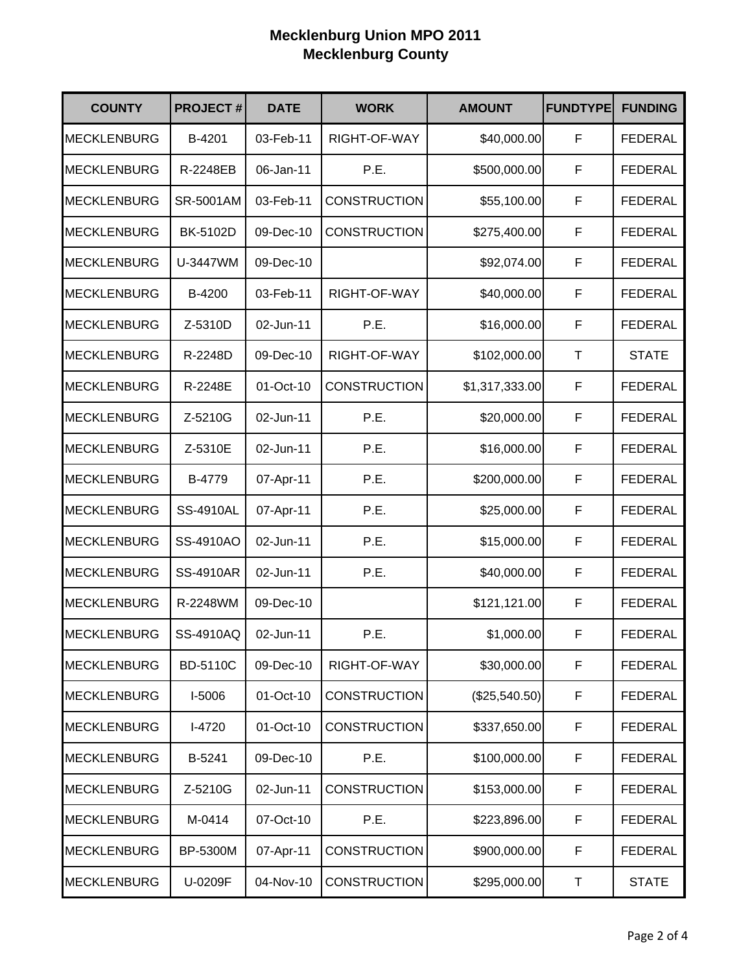| <b>COUNTY</b>      | <b>PROJECT#</b>  | <b>DATE</b> | <b>WORK</b>         | <b>AMOUNT</b>  | <b>FUNDTYPE</b> | <b>FUNDING</b> |
|--------------------|------------------|-------------|---------------------|----------------|-----------------|----------------|
| <b>MECKLENBURG</b> | B-4201           | 03-Feb-11   | RIGHT-OF-WAY        | \$40,000.00    | F               | <b>FEDERAL</b> |
| <b>MECKLENBURG</b> | R-2248EB         | 06-Jan-11   | P.E.                | \$500,000.00   | F               | <b>FEDERAL</b> |
| <b>MECKLENBURG</b> | SR-5001AM        | 03-Feb-11   | <b>CONSTRUCTION</b> | \$55,100.00    | F               | <b>FEDERAL</b> |
| <b>MECKLENBURG</b> | BK-5102D         | 09-Dec-10   | <b>CONSTRUCTION</b> | \$275,400.00   | F               | <b>FEDERAL</b> |
| <b>MECKLENBURG</b> | U-3447WM         | 09-Dec-10   |                     | \$92,074.00    | F               | <b>FEDERAL</b> |
| <b>MECKLENBURG</b> | B-4200           | 03-Feb-11   | RIGHT-OF-WAY        | \$40,000.00    | F               | <b>FEDERAL</b> |
| <b>MECKLENBURG</b> | Z-5310D          | 02-Jun-11   | P.E.                | \$16,000.00    | F               | <b>FEDERAL</b> |
| <b>MECKLENBURG</b> | R-2248D          | 09-Dec-10   | RIGHT-OF-WAY        | \$102,000.00   | T               | <b>STATE</b>   |
| <b>MECKLENBURG</b> | R-2248E          | 01-Oct-10   | <b>CONSTRUCTION</b> | \$1,317,333.00 | F               | <b>FEDERAL</b> |
| <b>MECKLENBURG</b> | Z-5210G          | 02-Jun-11   | P.E.                | \$20,000.00    | F               | <b>FEDERAL</b> |
| <b>MECKLENBURG</b> | Z-5310E          | 02-Jun-11   | P.E.                | \$16,000.00    | F               | <b>FEDERAL</b> |
| <b>MECKLENBURG</b> | B-4779           | 07-Apr-11   | P.E.                | \$200,000.00   | F               | <b>FEDERAL</b> |
| <b>MECKLENBURG</b> | <b>SS-4910AL</b> | 07-Apr-11   | P.E.                | \$25,000.00    | F               | <b>FEDERAL</b> |
| <b>MECKLENBURG</b> | SS-4910AO        | 02-Jun-11   | P.E.                | \$15,000.00    | F               | <b>FEDERAL</b> |
| <b>MECKLENBURG</b> | <b>SS-4910AR</b> | 02-Jun-11   | P.E.                | \$40,000.00    | $\mathsf F$     | <b>FEDERAL</b> |
| <b>MECKLENBURG</b> | R-2248WM         | 09-Dec-10   |                     | \$121,121.00   | F               | <b>FEDERAL</b> |
| <b>MECKLENBURG</b> | SS-4910AQ        | 02-Jun-11   | P.E.                | \$1,000.00     | F               | <b>FEDERAL</b> |
| <b>MECKLENBURG</b> | <b>BD-5110C</b>  | 09-Dec-10   | RIGHT-OF-WAY        | \$30,000.00    | $\mathsf F$     | <b>FEDERAL</b> |
| <b>MECKLENBURG</b> | I-5006           | 01-Oct-10   | <b>CONSTRUCTION</b> | (\$25,540.50)  | F               | <b>FEDERAL</b> |
| <b>MECKLENBURG</b> | $I-4720$         | 01-Oct-10   | <b>CONSTRUCTION</b> | \$337,650.00   | F               | <b>FEDERAL</b> |
| <b>MECKLENBURG</b> | B-5241           | 09-Dec-10   | P.E.                | \$100,000.00   | F               | <b>FEDERAL</b> |
| <b>MECKLENBURG</b> | Z-5210G          | 02-Jun-11   | <b>CONSTRUCTION</b> | \$153,000.00   | F               | <b>FEDERAL</b> |
| <b>MECKLENBURG</b> | M-0414           | 07-Oct-10   | P.E.                | \$223,896.00   | F               | <b>FEDERAL</b> |
| <b>MECKLENBURG</b> | BP-5300M         | 07-Apr-11   | <b>CONSTRUCTION</b> | \$900,000.00   | F               | <b>FEDERAL</b> |
| <b>MECKLENBURG</b> | U-0209F          | 04-Nov-10   | <b>CONSTRUCTION</b> | \$295,000.00   | Τ               | <b>STATE</b>   |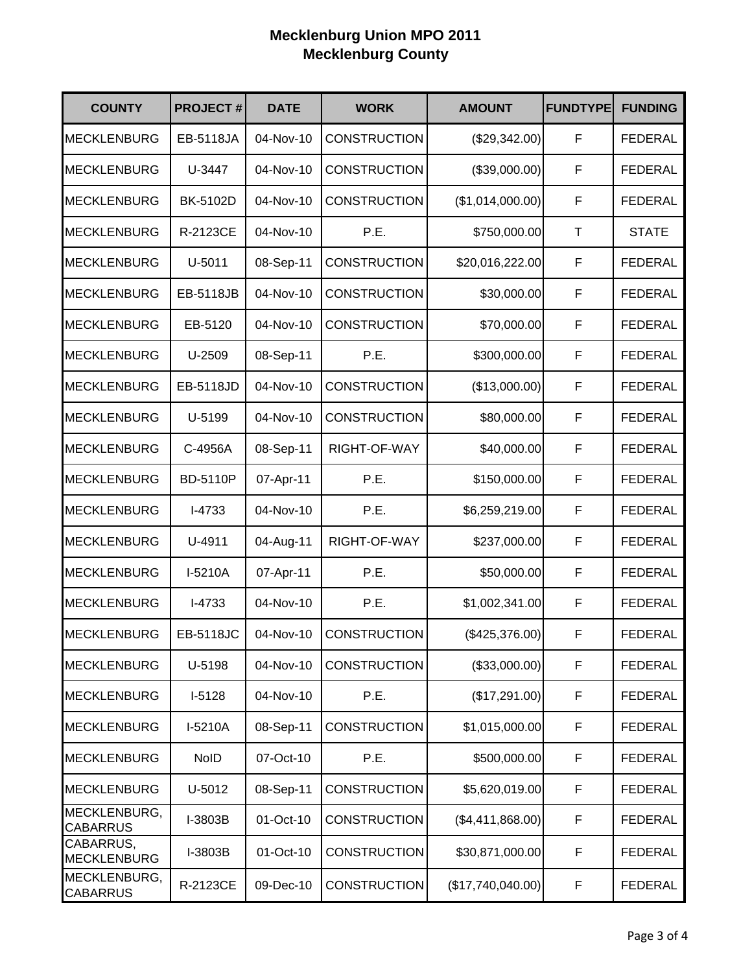| <b>COUNTY</b>                   | <b>PROJECT#</b>  | <b>DATE</b> | <b>WORK</b>         | <b>AMOUNT</b>     | <b>FUNDTYPE</b> | <b>FUNDING</b> |
|---------------------------------|------------------|-------------|---------------------|-------------------|-----------------|----------------|
| <b>MECKLENBURG</b>              | EB-5118JA        | 04-Nov-10   | <b>CONSTRUCTION</b> | (\$29,342.00)     | F               | <b>FEDERAL</b> |
| <b>MECKLENBURG</b>              | U-3447           | 04-Nov-10   | <b>CONSTRUCTION</b> | (\$39,000.00)     | F               | <b>FEDERAL</b> |
| <b>MECKLENBURG</b>              | BK-5102D         | 04-Nov-10   | <b>CONSTRUCTION</b> | (\$1,014,000.00)  | $\mathsf F$     | <b>FEDERAL</b> |
| <b>MECKLENBURG</b>              | R-2123CE         | 04-Nov-10   | P.E.                | \$750,000.00      | $\top$          | <b>STATE</b>   |
| <b>MECKLENBURG</b>              | U-5011           | 08-Sep-11   | <b>CONSTRUCTION</b> | \$20,016,222.00   | $\mathsf F$     | <b>FEDERAL</b> |
| <b>MECKLENBURG</b>              | EB-5118JB        | 04-Nov-10   | <b>CONSTRUCTION</b> | \$30,000.00       | F               | <b>FEDERAL</b> |
| <b>MECKLENBURG</b>              | EB-5120          | 04-Nov-10   | <b>CONSTRUCTION</b> | \$70,000.00       | F               | <b>FEDERAL</b> |
| <b>MECKLENBURG</b>              | U-2509           | 08-Sep-11   | P.E.                | \$300,000.00      | F               | <b>FEDERAL</b> |
| <b>MECKLENBURG</b>              | EB-5118JD        | 04-Nov-10   | <b>CONSTRUCTION</b> | (\$13,000.00)     | F               | <b>FEDERAL</b> |
| <b>MECKLENBURG</b>              | U-5199           | 04-Nov-10   | <b>CONSTRUCTION</b> | \$80,000.00       | F               | <b>FEDERAL</b> |
| <b>MECKLENBURG</b>              | C-4956A          | 08-Sep-11   | RIGHT-OF-WAY        | \$40,000.00       | $\mathsf F$     | <b>FEDERAL</b> |
| <b>MECKLENBURG</b>              | <b>BD-5110P</b>  | 07-Apr-11   | P.E.                | \$150,000.00      | F               | <b>FEDERAL</b> |
| <b>MECKLENBURG</b>              | I-4733           | 04-Nov-10   | P.E.                | \$6,259,219.00    | $\mathsf F$     | <b>FEDERAL</b> |
| <b>MECKLENBURG</b>              | U-4911           | 04-Aug-11   | RIGHT-OF-WAY        | \$237,000.00      | F               | <b>FEDERAL</b> |
| <b>MECKLENBURG</b>              | I-5210A          | 07-Apr-11   | P.E.                | \$50,000.00       | $\mathsf F$     | <b>FEDERAL</b> |
| <b>MECKLENBURG</b>              | I-4733           | 04-Nov-10   | P.E.                | \$1,002,341.00    | F               | <b>FEDERAL</b> |
| <b>MECKLENBURG</b>              | <b>EB-5118JC</b> | 04-Nov-10   | <b>CONSTRUCTION</b> | (\$425,376.00)    | F               | <b>FEDERAL</b> |
| <b>MECKLENBURG</b>              | U-5198           | 04-Nov-10   | <b>CONSTRUCTION</b> | (\$33,000.00)     | $\mathsf F$     | <b>FEDERAL</b> |
| <b>MECKLENBURG</b>              | $I-5128$         | 04-Nov-10   | P.E.                | (\$17,291.00)     | F               | <b>FEDERAL</b> |
| <b>MECKLENBURG</b>              | I-5210A          | 08-Sep-11   | <b>CONSTRUCTION</b> | \$1,015,000.00    | F               | <b>FEDERAL</b> |
| <b>MECKLENBURG</b>              | <b>NoID</b>      | 07-Oct-10   | P.E.                | \$500,000.00      | F               | <b>FEDERAL</b> |
| <b>MECKLENBURG</b>              | U-5012           | 08-Sep-11   | <b>CONSTRUCTION</b> | \$5,620,019.00    | F               | <b>FEDERAL</b> |
| MECKLENBURG,<br><b>CABARRUS</b> | I-3803B          | 01-Oct-10   | <b>CONSTRUCTION</b> | (\$4,411,868.00)  | F               | <b>FEDERAL</b> |
| CABARRUS,<br><b>MECKLENBURG</b> | I-3803B          | 01-Oct-10   | <b>CONSTRUCTION</b> | \$30,871,000.00   | F               | <b>FEDERAL</b> |
| MECKLENBURG,<br><b>CABARRUS</b> | R-2123CE         | 09-Dec-10   | <b>CONSTRUCTION</b> | (\$17,740,040.00) | F               | <b>FEDERAL</b> |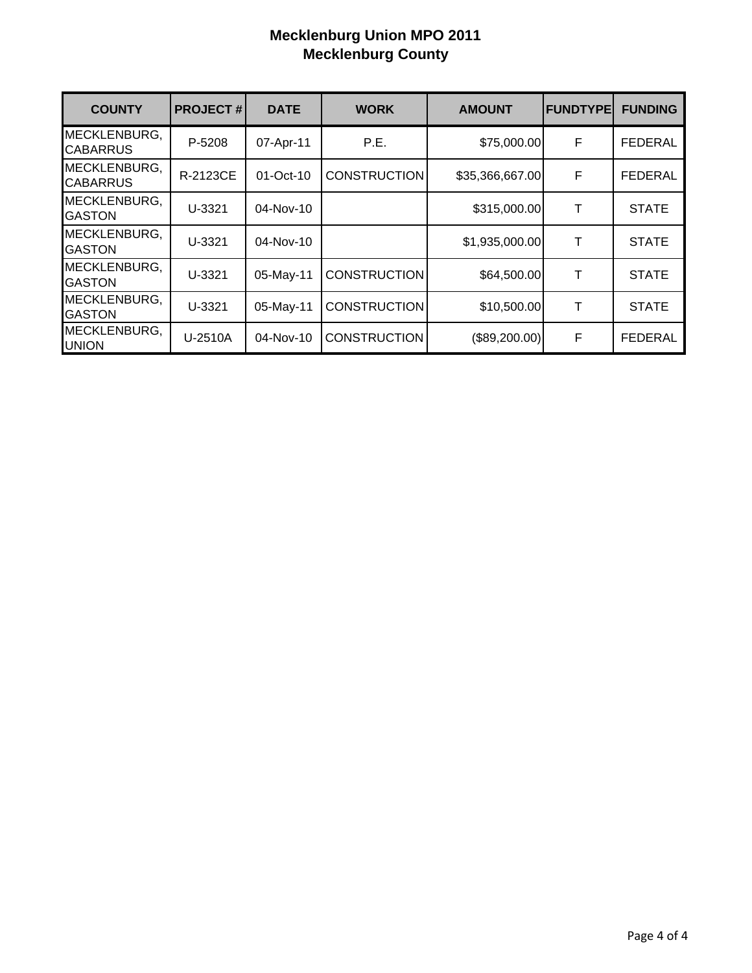| <b>COUNTY</b>                   | <b>PROJECT#</b> | <b>DATE</b> | <b>WORK</b>         | <b>AMOUNT</b>   | <b>FUNDTYPE</b> | <b>FUNDING</b> |
|---------------------------------|-----------------|-------------|---------------------|-----------------|-----------------|----------------|
| MECKLENBURG,<br><b>CABARRUS</b> | P-5208          | 07-Apr-11   | P.E.                | \$75,000.00     | F               | <b>FEDERAL</b> |
| MECKLENBURG,<br><b>CABARRUS</b> | R-2123CE        | 01-Oct-10   | <b>CONSTRUCTION</b> | \$35,366,667.00 | F               | FEDERAL        |
| MECKLENBURG,<br><b>GASTON</b>   | U-3321          | 04-Nov-10   |                     | \$315,000.00    | Τ               | <b>STATE</b>   |
| MECKLENBURG,<br><b>GASTON</b>   | U-3321          | 04-Nov-10   |                     | \$1,935,000.00  | т               | <b>STATE</b>   |
| MECKLENBURG,<br><b>GASTON</b>   | U-3321          | 05-May-11   | <b>CONSTRUCTION</b> | \$64,500.00     | Т               | <b>STATE</b>   |
| MECKLENBURG,<br><b>GASTON</b>   | U-3321          | 05-May-11   | <b>CONSTRUCTION</b> | \$10,500.00     | Т               | <b>STATE</b>   |
| MECKLENBURG,<br><b>UNION</b>    | U-2510A         | 04-Nov-10   | <b>CONSTRUCTION</b> | (\$89,200.00)   | F               | <b>FEDERAL</b> |